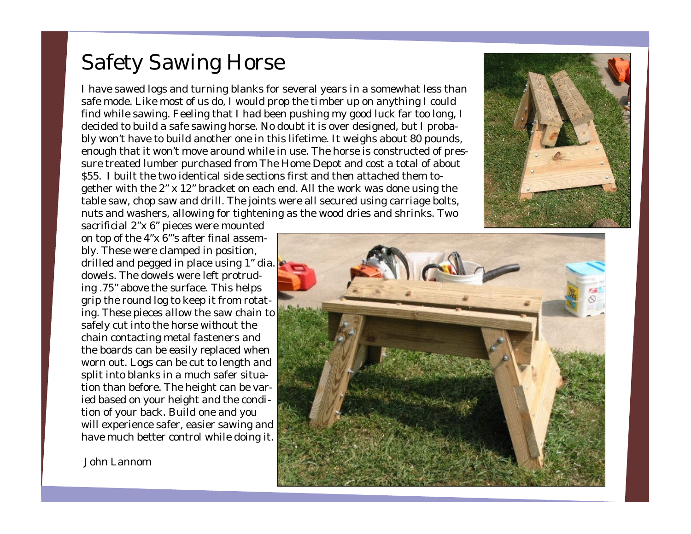## Safety Sawing Horse

I have sawed logs and turning blanks for several years in a somewhat less than safe mode. Like most of us do, I would prop the timber up on anything I could find while sawing. Feeling that I had been pushing my good luck far too long, I decided to build a safe sawing horse. No doubt it is over designed, but I probably won't have to build another one in this lifetime. It weighs about 80 pounds, enough that it won't move around while in use. The horse is constructed of pressure treated lumber purchased from The Home Depot and cost a total of about \$55. I built the two identical side sections first and then attached them together with the 2" x 12" bracket on each end. All the work was done using the table saw, chop saw and drill. The joints were all secured using carriage bolts, nuts and washers, allowing for tightening as the wood dries and shrinks. Two



sacrificial 2"x 6" pieces were mounted on top of the 4"x 6"'s after final assembly. These were clamped in position, drilled and pegged in place using 1" dia. dowels. The dowels were left protruding .75" above the surface. This helps grip the round log to keep it from rotating. These pieces allow the saw chain to safely cut into the horse without the chain contacting metal fasteners and the boards can be easily replaced when worn out. Logs can be cut to length and split into blanks in a much safer situation than before. The height can be varied based on your height and the condition of your back. Build one and you will experience safer, easier sawing and have much better control while doing it.



John Lannom